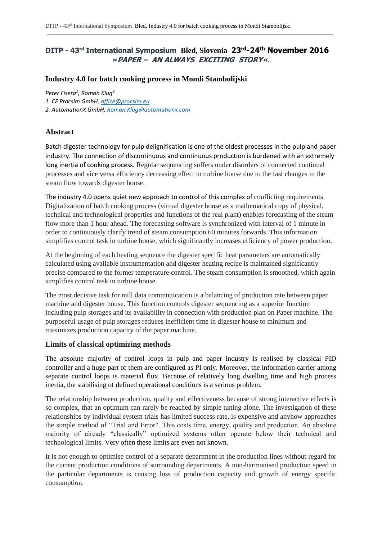# **DITP - 43rd International Symposium Bled, Slovenia 23rd-24th November 2016 »PAPER – AN ALWAYS EXCITING STORY«.**

### **Industry 4.0 for batch cooking process in Mondi Stambolijski**

*Peter Fisera<sup>1</sup> , Roman Klug<sup>2</sup>*

*1. CF Procsim GmbH, [office@procsim.eu](mailto:office@procsim.eu)*

*2. AutomationX GmbH, [Roman.Klug@automationx.com](mailto:Roman.Klug@automationx.com)*

## **Abstract**

Batch digester technology for pulp delignification is one of the oldest processes in the pulp and paper industry. The connection of discontinuous and continuous production is burdened with an extremely long inertia of cooking process. Regular sequencing suffers under disorders of connected continual processes and vice versa efficiency decreasing effect in turbine house due to the fast changes in the steam flow towards digester house.

The industry 4.0 opens quiet new approach to control of this complex of conflicting requirements. Digitalization of batch cooking process (virtual digester house as a mathematical copy of physical, technical and technological properties and functions of the real plant) enables forecasting of the steam flow more than 1 hour ahead. The forecasting software is synchronized with interval of 1 minute in order to continuously clarify trend of steam consumption 60 minutes forwards. This information simplifies control task in turbine house, which significantly increases efficiency of power production.

At the beginning of each heating sequence the digester specific heat parameters are automatically calculated using available instrumentation and digester heating recipe is maintained significantly precise compared to the former temperature control. The steam consumption is smoothed, which again simplifies control task in turbine house.

The most decisive task for mill data communication is a balancing of production rate between paper machine and digester house. This function controls digester sequencing as a superior function including pulp storages and its availability in connection with production plan on Paper machine. The purposeful usage of pulp storages reduces inefficient time in digester house to minimum and maximizes production capacity of the paper machine.

#### **Limits of classical optimizing methods**

The absolute majority of control loops in pulp and paper industry is realised by classical PID controller and a huge part of them are configured as PI only. Moreover, the information carrier among separate control loops is material flux. Because of relatively long dwelling time and high process inertia, the stabilising of defined operational conditions is a serious problem.

The relationship between production, quality and effectiveness because of strong interactive effects is so complex, that an optimum can rarely be reached by simple tuning alone. The investigation of these relationships by individual system trials has limited success rate, is expensive and anyhow approaches the simple method of "Trial and Error". This costs time, energy, quality and production. An absolute majority of already "classically" optimized systems often operate below their technical and technological limits. Very often these limits are even not known.

It is not enough to optimise control of a separate department in the production lines without regard for the current production conditions of surrounding departments. A non-harmonised production speed in the particular departments is causing loss of production capacity and growth of energy specific consumption.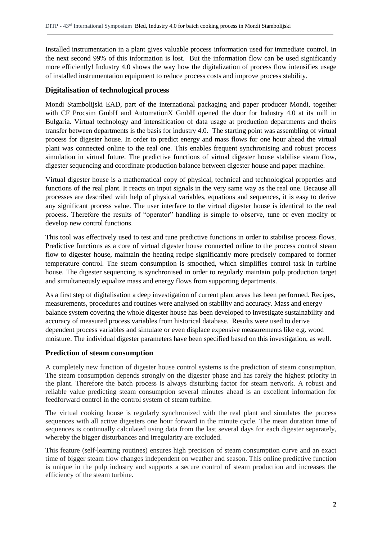Installed instrumentation in a plant gives valuable process information used for immediate control. In the next second 99% of this information is lost. But the information flow can be used significantly more efficiently! Industry 4.0 shows the way how the digitalization of process flow intensifies usage of installed instrumentation equipment to reduce process costs and improve process stability.

#### **Digitalisation of technological process**

Mondi Stambolijski EAD, part of the international packaging and paper producer Mondi, together with CF Procsim GmbH and AutomationX GmbH opened the door for Industry 4.0 at its mill in Bulgaria. Virtual technology and intensification of data usage at production departments and theirs transfer between departments is the basis for industry 4.0. The starting point was assembling of virtual process for digester house. In order to predict energy and mass flows for one hour ahead the virtual plant was connected online to the real one. This enables frequent synchronising and robust process simulation in virtual future. The predictive functions of virtual digester house stabilise steam flow, digester sequencing and coordinate production balance between digester house and paper machine.

Virtual digester house is a mathematical copy of physical, technical and technological properties and functions of the real plant. It reacts on input signals in the very same way as the real one. Because all processes are described with help of physical variables, equations and sequences, it is easy to derive any significant process value. The user interface to the virtual digester house is identical to the real process. Therefore the results of "operator" handling is simple to observe, tune or even modify or develop new control functions.

This tool was effectively used to test and tune predictive functions in order to stabilise process flows. Predictive functions as a core of virtual digester house connected online to the process control steam flow to digester house, maintain the heating recipe significantly more precisely compared to former temperature control. The steam consumption is smoothed, which simplifies control task in turbine house. The digester sequencing is synchronised in order to regularly maintain pulp production target and simultaneously equalize mass and energy flows from supporting departments.

As a first step of digitalisation a deep investigation of current plant areas has been performed. Recipes, measurements, procedures and routines were analysed on stability and accuracy. Mass and energy balance system covering the whole digester house has been developed to investigate sustainability and accuracy of measured process variables from historical database. Results were used to derive dependent process variables and simulate or even displace expensive measurements like e.g. wood moisture. The individual digester parameters have been specified based on this investigation, as well.

#### **Prediction of steam consumption**

A completely new function of digester house control systems is the prediction of steam consumption. The steam consumption depends strongly on the digester phase and has rarely the highest priority in the plant. Therefore the batch process is always disturbing factor for steam network. A robust and reliable value predicting steam consumption several minutes ahead is an excellent information for feedforward control in the control system of steam turbine.

The virtual cooking house is regularly synchronized with the real plant and simulates the process sequences with all active digesters one hour forward in the minute cycle. The mean duration time of sequences is continually calculated using data from the last several days for each digester separately, whereby the bigger disturbances and irregularity are excluded.

This feature (self-learning routines) ensures high precision of steam consumption curve and an exact time of bigger steam flow changes independent on weather and season. This online predictive function is unique in the pulp industry and supports a secure control of steam production and increases the efficiency of the steam turbine.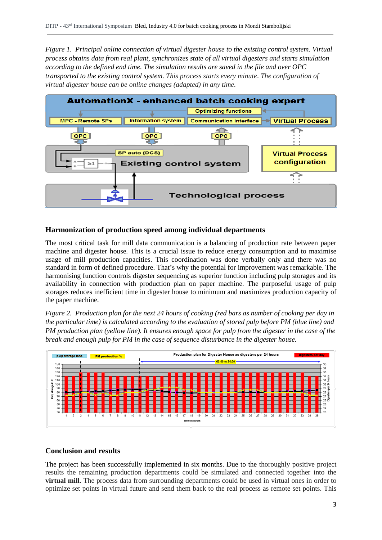*Figure 1. Principal online connection of virtual digester house to the existing control system. Virtual process obtains data from real plant, synchronizes state of all virtual digesters and starts simulation according to the defined end time. The simulation results are saved in the file and over OPC transported to the existing control system. This process starts every minute*. *The configuration of virtual digester house can be online changes (adapted) in any time.*



#### **Harmonization of production speed among individual departments**

The most critical task for mill data communication is a balancing of production rate between paper machine and digester house. This is a crucial issue to reduce energy consumption and to maximise usage of mill production capacities. This coordination was done verbally only and there was no standard in form of defined procedure. That's why the potential for improvement was remarkable. The harmonising function controls digester sequencing as superior function including pulp storages and its availability in connection with production plan on paper machine. The purposeful usage of pulp storages reduces inefficient time in digester house to minimum and maximizes production capacity of the paper machine.

*Figure 2. Production plan for the next 24 hours of cooking (red bars as number of cooking per day in the particular time) is calculated according to the evaluation of stored pulp before PM (blue line) and PM production plan (yellow line). It ensures enough space for pulp from the digester in the case of the break and enough pulp for PM in the case of sequence disturbance in the digester house.*



#### **Conclusion and results**

The project has been successfully implemented in six months. Due to the thoroughly positive project results the remaining production departments could be simulated and connected together into the **virtual mill**. The process data from surrounding departments could be used in virtual ones in order to optimize set points in virtual future and send them back to the real process as remote set points. This